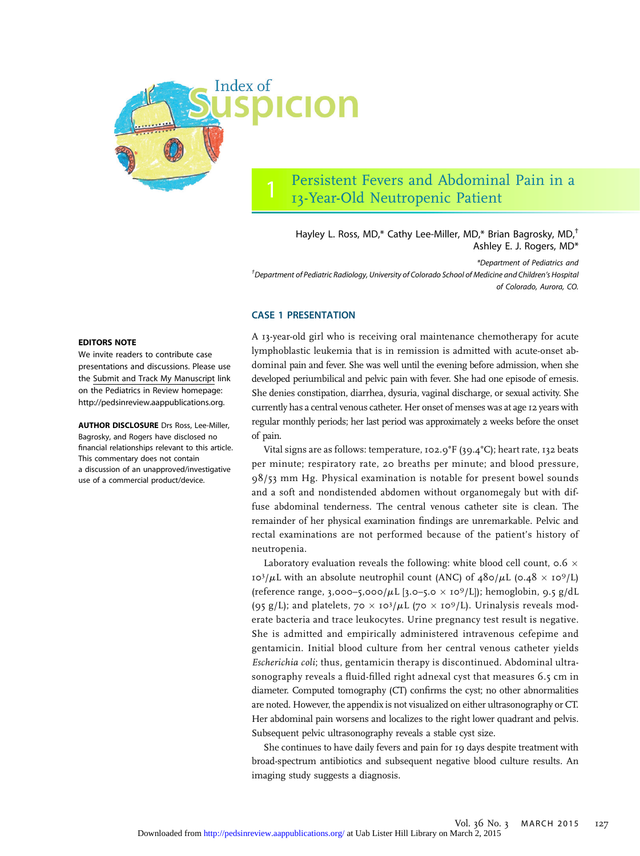

# 1 Persistent Fevers and Abdominal Pain in a 13-Year-Old Neutropenic Patient

Hayley L. Ross, MD,\* Cathy Lee-Miller, MD,\* Brian Bagrosky, MD,† Ashley E. J. Rogers, MD\*

\*Department of Pediatrics and † Department of Pediatric Radiology, University of Colorado School of Medicine and Children's Hospital of Colorado, Aurora, CO.

### CASE 1 PRESENTATION

A 13-year-old girl who is receiving oral maintenance chemotherapy for acute lymphoblastic leukemia that is in remission is admitted with acute-onset abdominal pain and fever. She was well until the evening before admission, when she developed periumbilical and pelvic pain with fever. She had one episode of emesis. She denies constipation, diarrhea, dysuria, vaginal discharge, or sexual activity. She currently has a central venous catheter. Her onset of menses was at age 12 years with regular monthly periods; her last period was approximately 2 weeks before the onset of pain.

Vital signs are as follows: temperature, 102.9°F (39.4°C); heart rate, 132 beats per minute; respiratory rate, 20 breaths per minute; and blood pressure, 98/53 mm Hg. Physical examination is notable for present bowel sounds and a soft and nondistended abdomen without organomegaly but with diffuse abdominal tenderness. The central venous catheter site is clean. The remainder of her physical examination findings are unremarkable. Pelvic and rectal examinations are not performed because of the patient's history of neutropenia.

Laboratory evaluation reveals the following: white blood cell count, 0.6  $\times$ 103/ $\mu$ L with an absolute neutrophil count (ANC) of 480/ $\mu$ L (0.48  $\times$  109/L) (reference range, 3,000-5,000/ $\mu$ L [3.0-5.0  $\times$  10<sup>9</sup>/L]); hemoglobin, 9.5 g/dL (95 g/L); and platelets,  $70 \times 10^3/\mu$ L (70  $\times 10^9$ /L). Urinalysis reveals moderate bacteria and trace leukocytes. Urine pregnancy test result is negative. She is admitted and empirically administered intravenous cefepime and gentamicin. Initial blood culture from her central venous catheter yields Escherichia coli; thus, gentamicin therapy is discontinued. Abdominal ultrasonography reveals a fluid-filled right adnexal cyst that measures 6.5 cm in diameter. Computed tomography (CT) confirms the cyst; no other abnormalities are noted. However, the appendix is not visualized on either ultrasonography or CT. Her abdominal pain worsens and localizes to the right lower quadrant and pelvis. Subsequent pelvic ultrasonography reveals a stable cyst size.

She continues to have daily fevers and pain for 19 days despite treatment with broad-spectrum antibiotics and subsequent negative blood culture results. An imaging study suggests a diagnosis.

#### EDITORS NOTE

We invite readers to contribute case presentations and discussions. Please use the [Submit and Track My Manuscript](http://mc.manuscriptcentral.com/pir) link on the Pediatrics in Review homepage: [http://pedsinreview.aappublications.org.](http://pedsinreview.aappublications.org)

AUTHOR DISCLOSURE Drs Ross, Lee-Miller, Bagrosky, and Rogers have disclosed no financial relationships relevant to this article. This commentary does not contain a discussion of an unapproved/investigative use of a commercial product/device.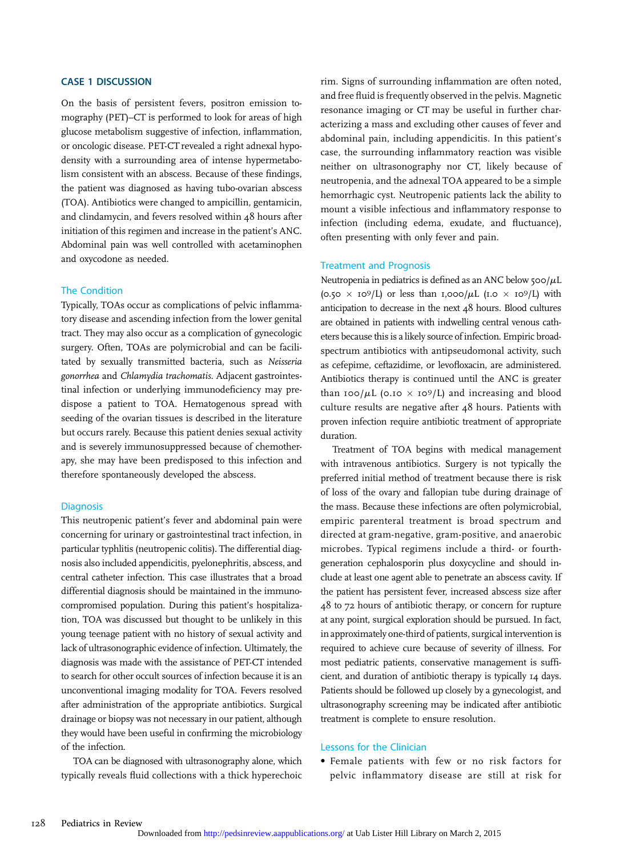#### CASE 1 DISCUSSION

On the basis of persistent fevers, positron emission tomography (PET)–CT is performed to look for areas of high glucose metabolism suggestive of infection, inflammation, or oncologic disease. PET-CT revealed a right adnexal hypodensity with a surrounding area of intense hypermetabolism consistent with an abscess. Because of these findings, the patient was diagnosed as having tubo-ovarian abscess (TOA). Antibiotics were changed to ampicillin, gentamicin, and clindamycin, and fevers resolved within 48 hours after initiation of this regimen and increase in the patient's ANC. Abdominal pain was well controlled with acetaminophen and oxycodone as needed.

#### The Condition

Typically, TOAs occur as complications of pelvic inflammatory disease and ascending infection from the lower genital tract. They may also occur as a complication of gynecologic surgery. Often, TOAs are polymicrobial and can be facilitated by sexually transmitted bacteria, such as Neisseria gonorrhea and Chlamydia trachomatis. Adjacent gastrointestinal infection or underlying immunodeficiency may predispose a patient to TOA. Hematogenous spread with seeding of the ovarian tissues is described in the literature but occurs rarely. Because this patient denies sexual activity and is severely immunosuppressed because of chemotherapy, she may have been predisposed to this infection and therefore spontaneously developed the abscess.

#### **Diagnosis**

This neutropenic patient's fever and abdominal pain were concerning for urinary or gastrointestinal tract infection, in particular typhlitis (neutropenic colitis). The differential diagnosis also included appendicitis, pyelonephritis, abscess, and central catheter infection. This case illustrates that a broad differential diagnosis should be maintained in the immunocompromised population. During this patient's hospitalization, TOA was discussed but thought to be unlikely in this young teenage patient with no history of sexual activity and lack of ultrasonographic evidence of infection. Ultimately, the diagnosis was made with the assistance of PET-CT intended to search for other occult sources of infection because it is an unconventional imaging modality for TOA. Fevers resolved after administration of the appropriate antibiotics. Surgical drainage or biopsy was not necessary in our patient, although they would have been useful in confirming the microbiology of the infection.

TOA can be diagnosed with ultrasonography alone, which typically reveals fluid collections with a thick hyperechoic rim. Signs of surrounding inflammation are often noted, and free fluid is frequently observed in the pelvis. Magnetic resonance imaging or CT may be useful in further characterizing a mass and excluding other causes of fever and abdominal pain, including appendicitis. In this patient's case, the surrounding inflammatory reaction was visible neither on ultrasonography nor CT, likely because of neutropenia, and the adnexal TOA appeared to be a simple hemorrhagic cyst. Neutropenic patients lack the ability to mount a visible infectious and inflammatory response to infection (including edema, exudate, and fluctuance), often presenting with only fever and pain.

#### Treatment and Prognosis

Neutropenia in pediatrics is defined as an ANC below  $500/\mu L$  $(0.50 \times 10^9$ /L) or less than 1,000/ $\mu$ L (1.0  $\times$  109/L) with anticipation to decrease in the next 48 hours. Blood cultures are obtained in patients with indwelling central venous catheters because this is a likely source of infection. Empiric broadspectrum antibiotics with antipseudomonal activity, such as cefepime, ceftazidime, or levofloxacin, are administered. Antibiotics therapy is continued until the ANC is greater than 100/ $\mu$ L (0.10  $\times$  10<sup>9</sup>/L) and increasing and blood culture results are negative after 48 hours. Patients with proven infection require antibiotic treatment of appropriate duration.

Treatment of TOA begins with medical management with intravenous antibiotics. Surgery is not typically the preferred initial method of treatment because there is risk of loss of the ovary and fallopian tube during drainage of the mass. Because these infections are often polymicrobial, empiric parenteral treatment is broad spectrum and directed at gram-negative, gram-positive, and anaerobic microbes. Typical regimens include a third- or fourthgeneration cephalosporin plus doxycycline and should include at least one agent able to penetrate an abscess cavity. If the patient has persistent fever, increased abscess size after 48 to 72 hours of antibiotic therapy, or concern for rupture at any point, surgical exploration should be pursued. In fact, in approximately one-third of patients, surgical intervention is required to achieve cure because of severity of illness. For most pediatric patients, conservative management is sufficient, and duration of antibiotic therapy is typically 14 days. Patients should be followed up closely by a gynecologist, and ultrasonography screening may be indicated after antibiotic treatment is complete to ensure resolution.

#### Lessons for the Clinician

• Female patients with few or no risk factors for pelvic inflammatory disease are still at risk for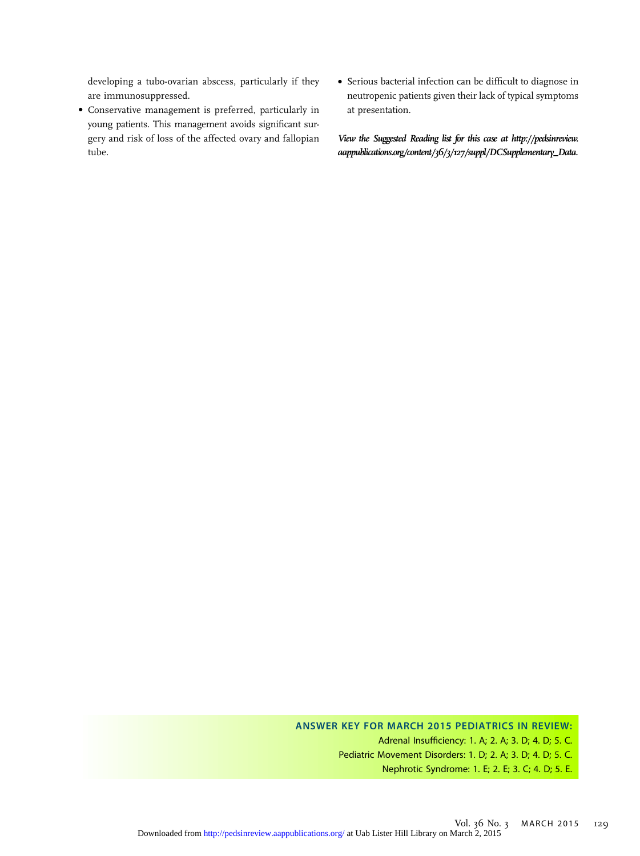developing a tubo-ovarian abscess, particularly if they are immunosuppressed.

- Conservative management is preferred, particularly in young patients. This management avoids significant surgery and risk of loss of the affected ovary and fallopian tube.
- Serious bacterial infection can be difficult to diagnose in neutropenic patients given their lack of typical symptoms at presentation.

View the Suggested Reading list for this case at [http://pedsinreview.](http://pedsinreview.aappublications.org/content/36/3/127/suppl/DCSupplementary_Data) [aappublications.org/content/36/3/127/suppl/DCSupplementary\\_Data](http://pedsinreview.aappublications.org/content/36/3/127/suppl/DCSupplementary_Data).

ANSWER KEY FOR MARCH 2015 PEDIATRICS IN REVIEW: Adrenal Insufficiency: 1. A; 2. A; 3. D; 4. D; 5. C. Pediatric Movement Disorders: 1. D; 2. A; 3. D; 4. D; 5. C. Nephrotic Syndrome: 1. E; 2. E; 3. C; 4. D; 5. E.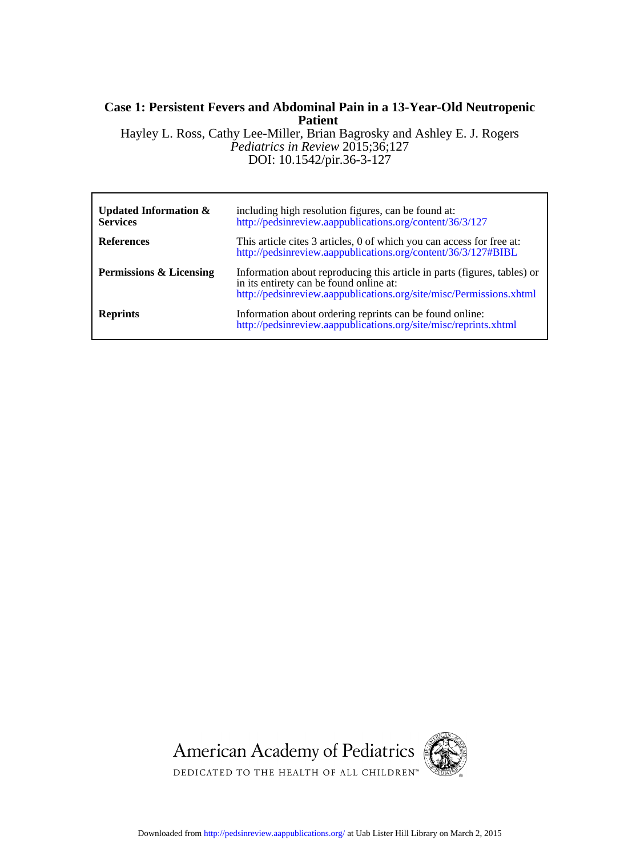## **Patient Case 1: Persistent Fevers and Abdominal Pain in a 13-Year-Old Neutropenic**

DOI: 10.1542/pir.36-3-127 *Pediatrics in Review* 2015;36;127 Hayley L. Ross, Cathy Lee-Miller, Brian Bagrosky and Ashley E. J. Rogers

| <b>Updated Information &amp;</b><br><b>Services</b> | including high resolution figures, can be found at:<br>http://pedsinreview.aappublications.org/content/36/3/127                                                                            |
|-----------------------------------------------------|--------------------------------------------------------------------------------------------------------------------------------------------------------------------------------------------|
| <b>References</b>                                   | This article cites 3 articles, 0 of which you can access for free at:<br>http://pedsinreview.aappublications.org/content/36/3/127#BIBL                                                     |
| <b>Permissions &amp; Licensing</b>                  | Information about reproducing this article in parts (figures, tables) or<br>in its entirety can be found online at:<br>http://pedsinreview.aappublications.org/site/misc/Permissions.xhtml |
| <b>Reprints</b>                                     | Information about ordering reprints can be found online:<br>http://pedsinreview.aappublications.org/site/misc/reprints.xhtml                                                               |